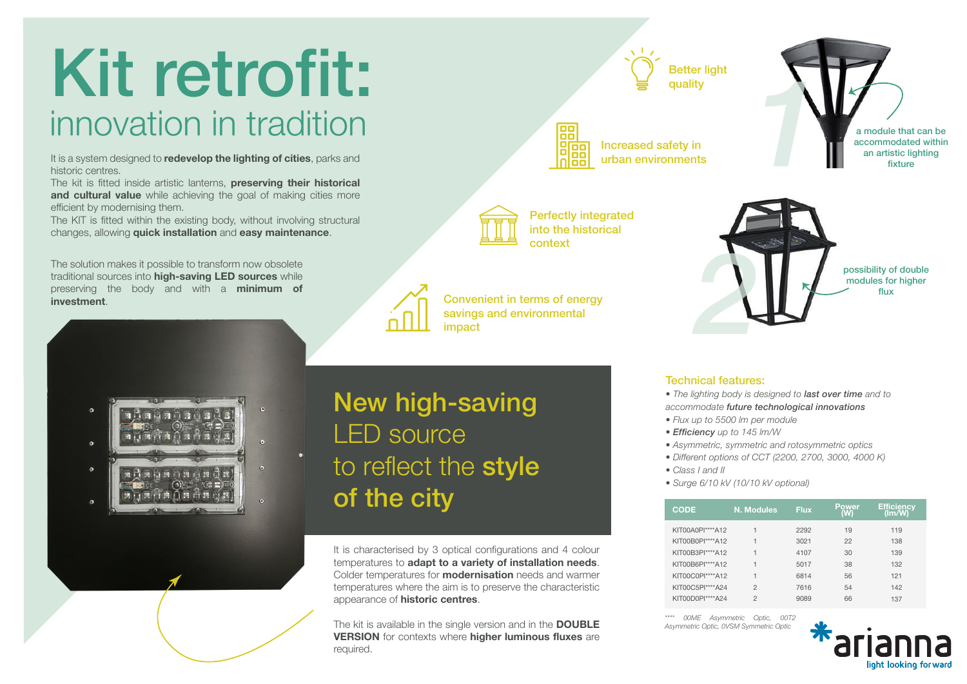## Kit retrofit: innovation in tradition

It is a system designed to **redevelop the lighting of cities**, parks and historic centres.

The kit is fitted inside artistic lanterns, **preserving their historical**  and cultural value while achieving the goal of making cities more efficient by modernising them.

The KIT is fitted within the existing body, without involving structural changes, allowing **quick installation** and **easy maintenance**.

The solution makes it possible to transform now obsolete traditional sources into **high-saving LED sources** while preserving the body and with a **minimum of investment**.



## New high-saving LED source to reflect the style of the city

It is characterised by 3 optical configurations and 4 colour temperatures to **adapt to a variety of installation needs**. Colder temperatures for **modernisation** needs and warmer temperatures where the aim is to preserve the characteristic appearance of **historic centres**.

The kit is available in the single version and in the **DOUBLE VERSION** for contexts where **higher luminous fluxes** are required.

需 朧

Increased safety in urban environments

Better light quality

*1* a module that can be accommodated within an artistic lighting fixture

> possibility of double modules for higher flux



Perfectly integrated into the historical



Technical features:

*2*

- *The lighting body is designed to last over time and to accommodate future technological innovations*
- *Flux up to 5500 lm per module*
- *Efficiency up to 145 lm/W*
- *Asymmetric, symmetric and rotosymmetric optics*
- *Different options of CCT (2200, 2700, 3000, 4000 K)*
- *Class I and II*
- *Surge 6/10 kV (10/10 kV optional)*

| CODE             | <b>N. Modules</b> | <b>Flux</b> | Power<br>w | Efficiency<br>(lm/W) |
|------------------|-------------------|-------------|------------|----------------------|
| KIT00A0PI****A12 | 1                 | 2292        | 19         | 119                  |
| KIT00B0PI****A12 | 1                 | 3021        | 22         | 138                  |
| KIT00B3PI****A12 | 1                 | 4107        | 30         | 139                  |
| KIT00B6PI****A12 | 1                 | 5017        | 38         | 132                  |
| KIT00C0PI****A12 | 1                 | 6814        | 56         | 121                  |
| KIT00C5PI****A24 | 2                 | 7616        | 54         | 142                  |
| KIT00D0PI****A24 | $\overline{c}$    | 9089        | 66         | 137                  |

*\*\*\*\* 00ME Asymmetric Optic, 00T2 Asymmetric Optic, 0VSM Symmetric Optic*